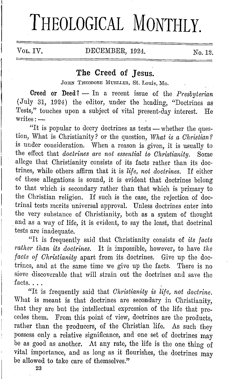# **THEOLOGICAL MONTHLY.**

### VOL. IV. DECEMBER, 1924. No. 12.

## **The Creed of Jesus.**

JOIIN THEODORE MUELLER, St. Louis, Mo.

**Creed or Deed?** - In a recent issue of the *Presbyterian*  (July 31, 1924) the editor, under the heading, "Doctrines as Tests," touches upon a subject of vital present-day interest. He  $writes:$   $-$ 

"It is popular to decry doctrines as tests - whether the question, What is Christianity? or the question, *What is a Christian?*  is under consideration. When a reason is given, it is usually to the effect that *doctrines are not essential* to *Christianity.* Some allege that Christianity consists of its facts rather than its doctrines, while others affirm that it is *life, not doctrines.* If either of these allegations is sound, it is evident that doctrines belong to that which is secondary rather than that which is primary to the Christian religion. If such is the case, the rejection of doctrinal tests merits universal approval. Unless doctrines enter into the very substance of Christianity, both as a system of thought . and as a way of life, it is evident, to say the least, that doctrinal tests arc inadequate.

"It is frequently said that Christianity consists of *its facts rather than its doctrines.* It is impossible, however, to have *the facts of Christianity* apart from its doctrines. Give up the doctrines, and at the same time we give up the facts. There is no sieve discoverable that will strain out the doctrines and save the facts. $\dots$ 

"It is frequently said that *Christianity is life, not doctrine.*  What is meant is that doctrines are secondary in Christianity, that they are but the intellectual expression of the life that precedes them. From this point of view, doctrines are the products, rather than the producers, of the Christian life. As such they possess only a relative significance, and one set of doctrines may be as good as another. At any rate, the life is the one thing of vital importance, and as long as it flourishes, the doctrines may be allowed to take care of themselves."

**23**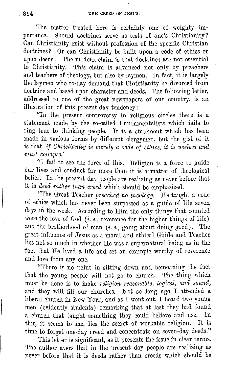The matter treated here is certainly one of weighty importance. Should doctrines serve as tests of one's Christianity? Can Christianity exist without profession of the specific Christian doctrines? Or can Christianity be built upon a code of ethics or upon deeds? The modern claim is that doctrines are not essential to Christianity. This claim is advanced not only by preachers and teachers of theology, but also by laymen. In fact, it is largely the laymen who to-day demand that Christianity be divorced from doctrine and based upon character and deeds. The following letter, addressed to one of the great newspapers of our country, is an illustration of this present-day tendency: -

"In the present controversy in religious circles there is a statement made by the so-called Fundamentalists which fails to ring true to thinking people. It is a statement which has been made in various forms by different clergymen, but the gist of it is that *'if Christianity is merely a code of ethics, it is useless and must collapse.'* 

"I fail to see the force of this. Religion is a force to guide our lives and conduct far more than it is a· matter of theological belief. In the present day people are realizing as never before that it is *deed rather than creed* which should be emphasized.

"'l'he Great 'l'cacher *preached no theology.* He taught a code of ethics which has never been surpassed as a guide of life seven days in the week. According to Him the only things that counted were the love of God (*i. e.*, reverence for the higher things of life) and the brotherhood of man (*i. e.*, going about doing good). The great influence of Jesus as a moral and ethical Guide and Teacher lies not so much in whether He was a supernatural being as in the fact that He lived a life and set an example worthy of reverence and love from any one.

· '"l'here is no point in sitting down and bemoaning the fact that the young people will not go to church. The thing which must be done is to inake *religion reasonable, logical, and sound,*  and they will fill our churches. Not so long ago I attended a liberal church in New York, and as I went out, I heard two young men (evidently students) remarking that at last they had found a church that taught something they could believe and use. In this, it seems to me, lies the secret of workable religion. It is time to forget one-day creed and concentrate on seven-day deeds."

This letter is significant, as it presents the issue in clear terms. The author avers that in the present day people are realizing as never before that it is deeds rather than creeds which should be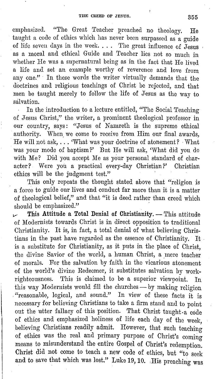emphasized. "The Great Teacher preached no theology. He taught a code of ethics which has never been surpassed as a guide of life seven days in the week.  $\dots$  The great influence of Jesus as a moral and ethical Guide and Teacher lies not so much in whether He was a supernatural being as in the fact that He lived a life and set an example worthy of reverence and love from any one." In these words the writer virtually demands that the doctrines and religious teachings of Christ be rejected, and that men be taught merely to follow the life of Jesus as the way to salvation.

In the introduction to a lecture entitled, "The Social Teaching of Jesus Christ," the writer, a prominent theological professor in our country, says: "Jesus of Nazareth is the supreme ethical authority. When, we come to receive from Him our final awards, He will not ask, ... 'What was your doctrine of atonement? What was your mode of baptism?' But He will ask, 'What did you do with Me? Did you accept Me as your personal standard of character? Were you a practical every-day Christian?' Christian ethics will be the judgment test."

This only repeats the thought stated above that "religion is a force to guide our lives and conduct far more than it is a matter of theological belief," and that "it is deed rather than creed which should be emphasized."

*v* This Attitude a Total Denial of Christianity. - This attitude of Modernists towards Christ is in direct opposition to traditional Christianity. It is, in fact, a total denial of what believing Christians in the past have regarded as the essence of Christianity. It . is a substitute for Christianity, as it puts in the place of Christ, the divine Savior of the world, a human Christ, a mere teacher of morals. For the salvation by faith in the vicarious atonement of the world's divine Redeemer, it substitutes salvation by workrighteousness. This is claimed to be a superior viewpoint. In this way Modernists would fill the churches — by making religion . "reasonable, logical, and sound." In view of these facts it is necessary for believing Christians to take a firm stand and to point out the utter fallacy of this position. That Christ taught a code of ethics and emphasized holiness of life each day of the week, believing Christians readily admit. However, that such teaching of ethics was the real and primary purpose of Christ's coming means to misunderstand the entire Gospel of Christ's redemption. Christ did not come to teach a new code of ethics, but "to seek and to save that which was lost." Luke 19, 10. His preaching was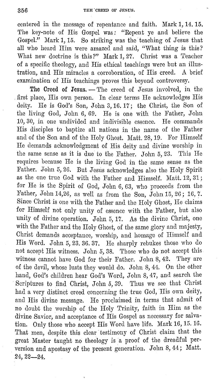centered in the message 0£ repentance and faith. Mark 1, 14. 15. The key-note of His Gospel was: "Repent ye and believe the Gospel." Mark **1,** 15. So striking was the· teaching of Jesus that all who heard Him were amazed and said, "What thing is this? What new doctrine is this?" Mark 1, 27. Christ was a Teacher of a specific theology, and His ethical teachings were but an illustration, and His miracles a corroboration, of His creed. **A** brio£ examination of His teachings proves this beyond controversy.

The Creed of Jesus. - The creed of Jesus involved, in the , first place, His own person. In clear terms He acknowledges His deity. He is God's Son, John 3, 16. 17; the Christ, the Son of the living God, John 6, 69. He is one with the Father, John 10, 30, in one undivided and indivisible essence. He commands His disciples to baptize all nations in the name of the Father and of the Son and of the Holy Ghost. Matt. 28, 19. For Himself He demands acknowledgment of His deity and divine worship in the same sense as it is due to the Father. John 5, 23. This He requires because He is the living God in the same sense as the Father. John 5, 26. But Jesus acknowledges also the Holy Spirit as the one true God with the Father and Himself. Matt. 12, 31; for He is the Spirit of God, John 6, 63, who proceeds from the Father, John 14,26, as well as from the Son, John 15, 26; 16, 7. Since Christ is one with the Father and the Holy Ghost, He claims for Himself not only unity of essence with the Father, but also unity of divine operation. John 5, 17. As the divine Christ, one with the Father and the Holy Ghost, of the same glory and majesty, Christ demands acceptance, worship, and homage of Himself and His Word. John 5, 23. 36. 37. He sharply rebukes those who do not accept His witness. John 5, 38. Those who do not accept this witness cannot have God for their Father. John 8, 42. They are of the devil, whose lusts they would do. John 8, 44. On the other hand, God's children hear God's Word, John 8, 47, and search the Scriptures to find Christ, John 5, 39. Thus we see that Christ had a very distinct creed concerning the true God, His own deity, and His divine message. He proclaimed in terms that admit of no doubt the worship of the Holy 'l'rinity, faith in Him as the divine Savior, and acceptance of His Gospel as necessary for salvation. Only those who accept His Word have life. Mark 16, 15. 16. That men, despite this clear testimony of Christ claim that the great Master taught no theology is a proo£ of the dreadful perversion and apostasy of the present generation. John 8, 44; Matt. 24, 22-24.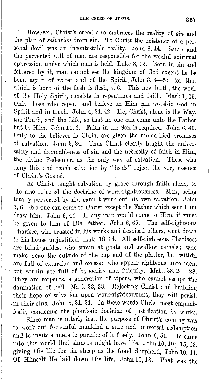However, Christ's creed also embraces the reality of *sin* and the plan of *salvation* from sin. To Christ the existence of a personal devil was an incontestable reality. John 8, 44. Satan and the perverted will of men are responsible for the woeful spiritual oppression under which man is held. Luke 8, 12. Born in sin and fettered by it, man cannot see the kingdom of God except he be born again of water and of the Spirit, John 3, 3-5; for that which is born of the flesh is flesh, *v.* 6. This new birth, the work of the Holy Spirit, consists in repentance and faith. Mark 1, 15. Only those who repent and believe on Him can worship God in Spirit and in truth. John 4, 24. 42. He, Christ, alone is the Way, the 'l'ruth, and the Life, so that no one can come unto the Father but by Him. John H, 6. Faith in the Son is required. John 6, 40. Only to the believer in Christ are given the unqualified promises of salvation. John 5, 24. Thus Christ clearly taught the universality and damnableness of sin and the necessity of faith in Him, the divine Redeemer, as the only way of salvation. Those who deny this and teach salvation by "deeds" reject the very essence of Christ's Gospel.

As Christ taught salvation by grace through faith alone, so He also rejected the doctrine of work-righteousness. Man, being totally perverted by sin, cannot work out his own salvation. John 3, 6. . No one can come to Christ except the Father which sent Him draw him. John 6, 44. If any man would come to Him, it must be given to him of His Father. John 6, 65. The self-righteous Pharisee, who trusted in his works and despised others, went down to his house unjustified. Luke 18, 14. All self-righteous Pharisees are blind guides, who strain at gnats and swallow camels; who make clean the outside of the cup and of the platter, but within are full of extortion and excess; who appear righteous unto men, but within are full of hypocrisy and iniquity. Matt. 23, 24-28. They are serpents, a generation of vipers, who cannot escape the damnation of hell. Matt. 23, 33. Rejecting Christ and building their hope of salvation upon work-righteousness, they will perish in their sins. John 8, 21. 24. In these words Christ most emphatically condemns the pharisaic doctrine of justification by works.

Since man is utterly lost, the purpose of Christ's coming was to work out for sinful mankind a sure and universal redemption and to invite sinners to partake of it freely. John 6, 51. He came into this world that sinners might have life, John 10, 10; 15, 13, giving His life for the sheep as the Good Shepherd, John 10, 11. Of Himself He laid down His life. John 10, 18. That was the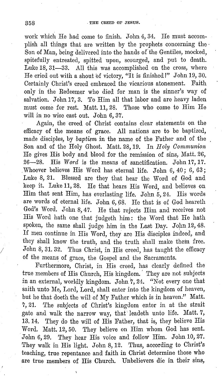work which He had come to finish. John 4, 34. He must accomplish all things that are written by the prophets concerning the · Son of Man, being delivered into the hands of the Gentiles, mocked, spitefully entreated, spitted upon, scourged, and put to death. Luke 18, 31-33. All this was accomplished on the cross, where He cried out with a shout of victory, "It is finished!" John 19, 30. Certainly Christ's creed embraced the vicarious atonement. Faith only in the Redeemer who died for man is the sinner's way of salvation. John 17, 3. To Him all that labor and are heavy laden must come for rest. Matt. 11, 28. Those who come to Him He will in no wise cast out. John 6, 37.

Again, the creed of Christ contains clear statements on the efficacy of the means of grace. All nations are to be baptized, made disciples, by baptism in the name of the Father and of the Son and of the Holy Ghost. Matt. 28, 19. In Holy Communion He gives His body and blood for the remission of sins, Matt. 26, 26-28. His *Word* is the means of sanctification. John 17, 17. Whoever believes His Word has eternal life. John 6, 40; 6, 63; Luke 8, 21. Blessed are they that hear the Word of God and keep it. Luke 11, 28. He that hears His Word, and believes on Him that sent Him, has everlasting life. John  $5, 24$ . His words are words of eternal life. John 6,  $68$ . He that is of God heareth God's Word. John 8, 47. He that rejects Him and receives not His Word hath one that judgeth him: the Word that He hath spoken, the same shall judge him in the Last Day. John 12, 48. If men continue in His Word, they are His disciples indeed, and they shall know the truth, and the truth shall make them free. John 8, 31. 32. Thus Christ, in His creed, has taught the efficacy of the means of grace, the Gospel and the Sacraments.

Furthermore, Christ, in His creed, has clearly defined the true members of His Church, His kingdom. They are not subjects in an external, worldly kingdom. John 7, 24. "Not every one that saith unto Me, Lord, Lord, shall enter into the kingdom of heaven, but he that doeth the will of My Father which is in heaven." Matt. 7, 21. The subjects of Christ's kingdom enter in at the strait gate and walk the narrow way, that leadeth unto life. Matt.  $7$ , 13. 14. They do the will of His Father, that is, they believe His Word. Matt. 12, 50. They believe on Him whom God has sent. John 6, 29. They hear His voice and follow Him. John 10, 27. They walk in His light. John 8, 12. Thus, according to Christ's teaching, true repentance and faith in Christ determine those who are true members of His Church. Unbelievers die in their sins,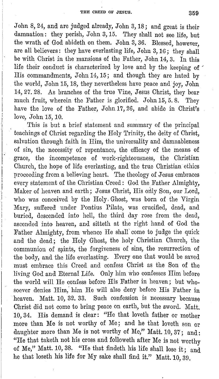John 8, 24, and are judged already, John 3, 18; and great is their damnation: they perish, John 3, 15. They shall not see life, but the wrath of God abideth on them. John 3, 36. Blessed, however, are all believers: they have everlasting life, John 3, 1G; they shall be with Christ in the mansions of the Father, John 14, 3. In this life their conduct is characterized by love and by the keeping of ' His commandments, John 14, 15; and though they are hated by the world, John 15, 18, they nevertheless have peace and joy, John 14, 27. 28. As branches of the true Vine, Jesus Christ, they bear much fruit, wherein the Father is glorified. John 15, 5. 8. They have the love of the Father, John 17, 26, and abide in Christ's love, John 15, 10.

This is but a brief statement and summary of the principal teachings of Christ regarding the Holy Trinity, the deity of Christ, salvation through faith in Him, the universality and damnableness of sin, the necessity of repentance, the efficacy of the means of grace, the incompetence of work-righteousness, the Christian Church, the hope of life everlasting, and the true Christian ethics proceeding from a believing heart. The theology of Jesus embraces every statement of the Christian Creed: God the Father Almighty, Maker of heaven and earth; Jesus Christ, His only Son, our Lord, who was conceived by the Holy, Ghost, was born of the Virgin Mary, suffered under Pontius Pilate, was crucified, dead, and buried, descended into hell, the third day rose from the dead, ascended into heaven, and sitteth at the right hand of God the Father Almighty, from whence He shall' come to judge the quick and the dead; the Holy Ghost, the holy Christian Church, the communion of saints, the forgiveness of sins, the resurrection of the body, and the life everlasting. Every one that would be saved must embrace this Creed and confess Christ as the Son of the living God and Eternal Life. Only him who confesses Him before the world will He confess before His Father in heaven; but whosoever denies Him,' him He will also deny before His Father in heaven. Matt. 10, 32. 33. Such confession is necessary because Christ did not come to bring peace on earth, but the sword. Matt. 10, 34. His demand is clear: ''He that loveth father or mother more than Me is not worthy of Me; and he that loveth son or daughter more than Me is not worthy of Me," Matt.  $10, 37$ ; and: "He that taketh not his cross and followeth after Me is not worthy of Me," Matt. 10, 38. "He that findeth his life shall lose it; and he that loseth his life for My sake shall find it." Matt. 10, 39.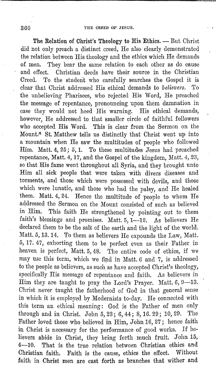The Relation of Christ's Theology to His Ethics. - But Christ did not only preach a distinct creed, He also clearly demonstrated the relation between His theology and the ethics which He demands of men. 'l'hey bear the same relation to each other as do cause and effect. Christian deeds have their source in the Christian Creed. To the studen't who carefully searches the Gospel it is clear that Christ addressed His ethical demands to *believers.* 'l'o the unbelieving Pharisees, who rejected His Word, He preached the message of repentance, pronouncing upon them damnation in case they would not heed His warning. His ethical demands, however. He addressed to that smaller circle of faithful followers who accepted His Word. This is clear from the Sermon on the Mount.<sup> $*$ </sup> St. Matthew tells us distinctly that Christ went up into a mountain when He saw the multitudes of people who followed Him. Matt. 4, 25; 5, 1. To these multitudes Jesus had preached repentance, Matt. 4, 17, and the Gospel of the kingdom, Matt. 4, 23, so that His fame went throughout all Syria, and they brought unto Him all sick people that were taken with divers diseases and torments, and those which were possessed with devils, and those which were lunatic, and those who had the palsy, and He healed them. Matt. 4, 24. Hence the multitude of people to whom He addressed the Sermon on the Mount consisted of such as believed in Him. This faith He strengthened by pointing out to them faith's blessings and promises. Matt.  $5, 1-12$ . As believers He declared them to be the salt of the earth and the light of the world. Matt. 5, 13. 14. To them as believers He expounds the Law, Matt. 5, 17. 47, exhorting them to be perfect even as their Father in heaven is perfect, Matt. 5, 48. The entire code of ethics, if we may use this term, which we find in Matt. 6 and 7, is addressed to the people as believers, as such,as have accepted Christ's theology, specifically His message of repentance and faith. As believers in Him they are taught to pray the Lord's Prayer. Matt. 6, 9-13. Christ never taught the fatherhood of God in that general sense in which it is employed by Modernists to-day. He connected with this term an ethical meaning: God is the Father of men only through and in Christ. John 5, 23; 6, 44; 8, 16. 29; 10, 29. The Father loved those who believed in Him, John 16, 27; hence faith in Christ is necessary for the performance of good works. If believers abide in Christ, they bring forth much fruit. John 15, 4-10. That is the true relation between Christian ethics and Christian faith. Faith is the cause, ethics the effect. Without faith in Christ men are cast forth as branches that wither and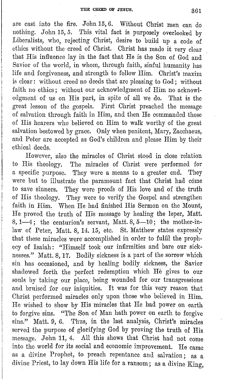are cast into the fire. John 15, 6. Without Christ men can do nothing. John 15,5. This vital fact is purposely overlooked by Liberalists, who, rejecting Christ, desire to build up a code of ethics without the creed of Christ. Christ has made it very clear that His influence lay in the fact that He is the Son of God and Savior of the world, in whom, through faith, sinful humanity has life and forgiveness, and strength to follow Him. Christ's maxim is clear: without creed no deeds that are pleasing to God; without faith no ethics; without our acknowledgment of Him no acknowledgment of us on His part, in spite of all we do. That is the great lesson of the gospels. First Christ preached the message of salvation through faith in Him, and then He commanded those of His hearers who believed on Him to walk worthy of the great salvation bestowed by grace. Only when penitent, Mary, Zacchaeus, and Peter are accepted as God's children and please Him by their ethical deeds.

However, also the miracles of Christ stood in close relation to His theology. The miracles of Christ were performed for a specific purpose. They were a means to a greater end. They were but to illustrate the paramount fact that Christ had come to save sinners. They were proofs of His love and of the truth of His theology. They were to verify the Gospel and strengthen faith in Him. When He had finished His Sermon on the Mount, He proved the truth of His message by healing the leper, Matt.  $8, 1-4$ ; the centurion's servant, Matt.  $8, 5-10$ ; the mother-inlaw of Peter, Matt. 8, 14. 15, etc. St. Matthew states expressly that these miracles were accomplished in order to fulfil the prophecy of Isaiah: "Himself took our infirmities and bare our sicknesses." Matt. 8, 17. Bodily sickness is a part of the sorrow which sin has occasioned, and by healing bodily sickness, the Savior shadowed forth the perfect redemption which He gives to our souls by taking our place, being wounded for our transgressions and bruised for our iniquities. It was for this very reason that Christ performed miracles only upon those who believed in Him. He wished to show by His miracles that He had power on earth to forgive sins. "The Son of Man hath power on earth to forgive sins." Matt. 9, 6. Thus, in the last analysis, Christ's miracles served the purpose of glorifying God by proving the truth of His message. John 11, 4. All this shows that Christ had not come into the world for its social and economic improvement. He came as a divine Prophet, to preach repentance and salvation; as a divine Priest, to lay down His life for a ransom; as a divine King,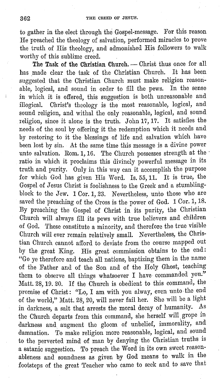to gather in the elect through the Gospel-message. For this reason He preached the theology of salvation, performed miracles to prove the truth of His theology, and admonished His followers to walk worthy of this sublime creed.

The Task of the Christian Church. - Christ thus once for all has made clear the task of the Christian Church. It has been suggested that the Christian Church must make religion reasonable, logical, and sound in order to fill the pews. In the sense in which it is offered, this suggestion is both unreasonable and illogical. Christ's theology is the most reasonable, logical, and sound religion, and withal the only reasonable, logical, and sound religion, since it alone is the truth. John 17, 17. It satisfies the needs of the soul by offering it the redemption which it needs and by restoring to it the blessings of life and salvation which have been lost by sin. At the same time this message is a divine power unto salvation. Rom. 1, 16. The Church possesses strength at the · ratio in which it proclaims this divinely powerful message in its truth and purity. Only in this way can it accomplish the purpose for which God has given His Word. Is. 55, 11. It is true, the Gospel of Jesus Christ is foolishness to the Greek and a stumblingblock to the Jew. **1** Cor. **1,** 23. Nevertheless, unto those who are saved the preaching of the Cross is the power of God. 1 Cor. 1, 18. By preaching the Gospel of Christ in its purity, the Christian Church will always fill its pews with true believers and children of God. These constitute a minority, and therefore the true visible Church will ever remain relatively small. Nevertheless, the Christian Church cannot afford to deviate from the course mapped out by the great King. His great commission obtains to the end: "Go ye therefore and teach all nations, baptizing them in the name of the Father and of the Son and of the Holy Ghost, teaching them to observe all things whatsoever I have commanded you." Matt. 28, 19. 20. If the Church is obedient to this command, the promise of Christ: "Lo, I am with you alway, even unto· the end of the world," Matt. 28, 20, will never fail her. She will be a light in darkness, a salt that arrests the moral decay of humanity. As the Church departs from this command, she herself will. grope in darkness and augment the gloom of unbelief, immorality, and damnation. To make religion more reasonable, logical, and sound to the perverted mind of man by denying the Christian truths is a satanic suggestion. To preach the Word in its own sweet reasonableness and soundness as given by God means to walk in the footsteps of the great Teacher who came to seek and to save that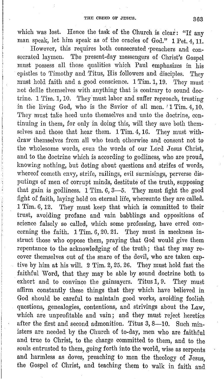which was lost. Hence the task of the Church is clear: "If any man speak, let him speak as of the oracles of God." 1 Pet. 4, 11.

However, this requires both consecrated ·preachers and consecrated laymen. The present-day messengers of Christ's Gospel must possess all those qualities which Paul emphasizes in his epistles to Timothy and Titus, His followers and disciples. They must hold faith and a good conscience. 1 Tim. 1, 19. They must not defile themselves with anything that is contrary to sound doctrine. 1 Tim. 1, 10. They must labor and suffer reproach, trusting in the living God, who is the Savior of all men. '1 Tim. 4, 10. They must take heed unto themselves and unto the doctrine, continuing in them, for only in doing this, will they save both themselves and those that hear them. 1 Tim. 4, 16. They must withdraw themselves from all who teach otherwise and consent not to the wholesome words, even the words of our Lord Jesus Christ, and to the doctrine which is according to godliness, who are proud, knowing nothing, but doting about questions and strifes of words, whereof cometh envy, strife, railings, evil surmisings, perverse disputings of men of corrupt minds, destitute of the truth, supposing that gain is godliness.  $1$  Tim.  $6, 3-5$ . They must fight the good fight of faith, laying hold on eternal life, whereunto they are called. 1 Tim. 6, 12. They must keep that which is committed to their trust, avoiding profane and vain babblings and oppositions of science falsely so called, which some professing, have erred concerning the faith.  $1$  Tim. 6, 20. 21. They must in meekness instruct those who oppose them, praying that God would give them repentance to the acknowledging of the truth; that they may recover themselves out of the snare of the devil, who are taken captive by him at his will. 2 Tim. 2, 25. 26. They must hold fast the faithful Word, that they may be able by sound doctrine both to exhort and to convince the gainsayers. Titus 1, 9. They must affirm constantly these things that they which have believed in God should be careful to maintain good works, avoiding foolish questions, genealogies, contentions, and strivings about the Law, which are unprofitable and vain; and they must reject heretics after the first and second admonition. Titus  $3, 8$ —10. Such ministers are needed by the Church of to-day, men who are faithful and true to Christ, to the charge committed to them, and to the souls entrusted to them, going forth into the world, wise as serpents and harmless as doves, preaching to men the theology of Jesus, the Gospel of Christ, and teaching them to walk in faith and